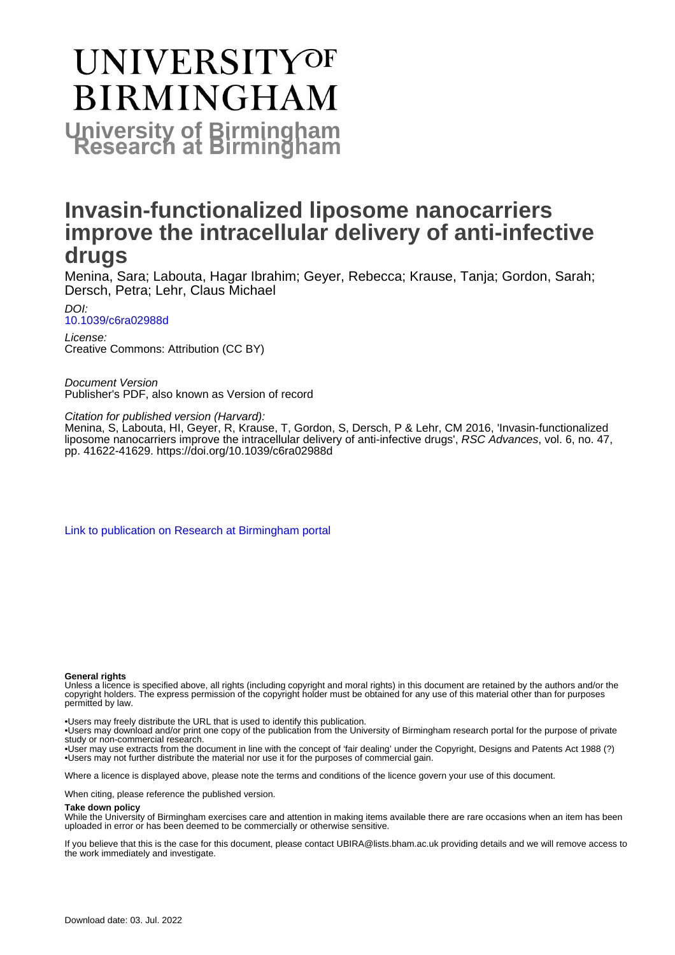# **UNIVERSITYOF BIRMINGHAM University of Birmingham**

# **Invasin-functionalized liposome nanocarriers improve the intracellular delivery of anti-infective drugs**

Menina, Sara; Labouta, Hagar Ibrahim; Geyer, Rebecca; Krause, Tanja; Gordon, Sarah; Dersch, Petra; Lehr, Claus Michael

DOI: [10.1039/c6ra02988d](https://doi.org/10.1039/c6ra02988d)

License: Creative Commons: Attribution (CC BY)

Document Version Publisher's PDF, also known as Version of record

Citation for published version (Harvard):

Menina, S, Labouta, HI, Geyer, R, Krause, T, Gordon, S, Dersch, P & Lehr, CM 2016, 'Invasin-functionalized liposome nanocarriers improve the intracellular delivery of anti-infective drugs', RSC Advances, vol. 6, no. 47, pp. 41622-41629.<https://doi.org/10.1039/c6ra02988d>

[Link to publication on Research at Birmingham portal](https://birmingham.elsevierpure.com/en/publications/287ad0fd-872c-4171-86d9-b153e07965db)

#### **General rights**

Unless a licence is specified above, all rights (including copyright and moral rights) in this document are retained by the authors and/or the copyright holders. The express permission of the copyright holder must be obtained for any use of this material other than for purposes permitted by law.

• Users may freely distribute the URL that is used to identify this publication.

• Users may download and/or print one copy of the publication from the University of Birmingham research portal for the purpose of private study or non-commercial research.

• User may use extracts from the document in line with the concept of 'fair dealing' under the Copyright, Designs and Patents Act 1988 (?) • Users may not further distribute the material nor use it for the purposes of commercial gain.

Where a licence is displayed above, please note the terms and conditions of the licence govern your use of this document.

When citing, please reference the published version.

#### **Take down policy**

While the University of Birmingham exercises care and attention in making items available there are rare occasions when an item has been uploaded in error or has been deemed to be commercially or otherwise sensitive.

If you believe that this is the case for this document, please contact UBIRA@lists.bham.ac.uk providing details and we will remove access to the work immediately and investigate.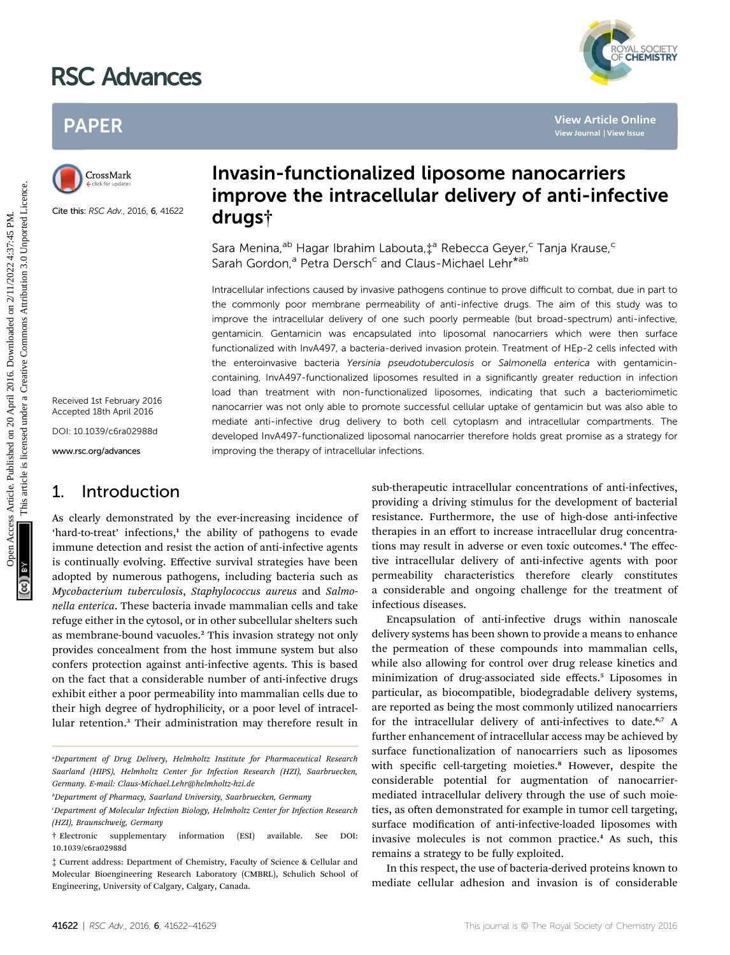# RSC Advances



# PAPER



Cite this: RSC Adv., 2016, 6, 41622

Received 1st February 2016 Accepted 18th April 2016

DOI: 10.1039/c6ra02988d

www.rsc.org/advances

# 1. Introduction

As clearly demonstrated by the ever-increasing incidence of 'hard-to-treat' infections,<sup>1</sup> the ability of pathogens to evade immune detection and resist the action of anti-infective agents is continually evolving. Effective survival strategies have been adopted by numerous pathogens, including bacteria such as Mycobacterium tuberculosis, Staphylococcus aureus and Salmonella enterica. These bacteria invade mammalian cells and take refuge either in the cytosol, or in other subcellular shelters such as membrane-bound vacuoles.<sup>2</sup> This invasion strategy not only provides concealment from the host immune system but also confers protection against anti-infective agents. This is based on the fact that a considerable number of anti-infective drugs exhibit either a poor permeability into mammalian cells due to their high degree of hydrophilicity, or a poor level of intracellular retention.<sup>3</sup> Their administration may therefore result in

# Invasin-functionalized liposome nanocarriers improve the intracellular delivery of anti-infective drugs†

Sara Menina,<sup>ab</sup> Hagar Ibrahim Labouta,‡<sup>a</sup> Rebecca Geyer,<sup>c</sup> Tanja Krause,<sup>c</sup> Sarah Gordon,<sup>a</sup> Petra Dersch<sup>c</sup> and Claus-Michael Lehr<sup>\*ab</sup>

Intracellular infections caused by invasive pathogens continue to prove difficult to combat, due in part to the commonly poor membrane permeability of anti-infective drugs. The aim of this study was to improve the intracellular delivery of one such poorly permeable (but broad-spectrum) anti-infective, gentamicin. Gentamicin was encapsulated into liposomal nanocarriers which were then surface functionalized with InvA497, a bacteria-derived invasion protein. Treatment of HEp-2 cells infected with the enteroinvasive bacteria Yersinia pseudotuberculosis or Salmonella enterica with gentamicincontaining, InvA497-functionalized liposomes resulted in a significantly greater reduction in infection load than treatment with non-functionalized liposomes, indicating that such a bacteriomimetic nanocarrier was not only able to promote successful cellular uptake of gentamicin but was also able to mediate anti-infective drug delivery to both cell cytoplasm and intracellular compartments. The developed InvA497-functionalized liposomal nanocarrier therefore holds great promise as a strategy for improving the therapy of intracellular infections. PAPER<br>
CrossRent **Invasin-functionalized liposome nanocarriers**<br>
CrossRent **Improve the intracellular delivery of anti-infective<br>
State the action of the intracellular delivery of anti-infective<br>
State the state of the in** 

sub-therapeutic intracellular concentrations of anti-infectives, providing a driving stimulus for the development of bacterial resistance. Furthermore, the use of high-dose anti-infective therapies in an effort to increase intracellular drug concentrations may result in adverse or even toxic outcomes.<sup>4</sup> The effective intracellular delivery of anti-infective agents with poor permeability characteristics therefore clearly constitutes a considerable and ongoing challenge for the treatment of infectious diseases.

Encapsulation of anti-infective drugs within nanoscale delivery systems has been shown to provide a means to enhance the permeation of these compounds into mammalian cells, while also allowing for control over drug release kinetics and minimization of drug-associated side effects.<sup>5</sup> Liposomes in particular, as biocompatible, biodegradable delivery systems, are reported as being the most commonly utilized nanocarriers for the intracellular delivery of anti-infectives to date.<sup>6,7</sup> A further enhancement of intracellular access may be achieved by surface functionalization of nanocarriers such as liposomes with specific cell-targeting moieties.<sup>8</sup> However, despite the considerable potential for augmentation of nanocarriermediated intracellular delivery through the use of such moieties, as often demonstrated for example in tumor cell targeting, surface modification of anti-infective-loaded liposomes with invasive molecules is not common practice.<sup>4</sup> As such, this remains a strategy to be fully exploited.

In this respect, the use of bacteria-derived proteins known to mediate cellular adhesion and invasion is of considerable

a Department of Drug Delivery, Helmholtz Institute for Pharmaceutical Research Saarland (HIPS), Helmholtz Center for Infection Research (HZI), Saarbruecken, Germany. E-mail: Claus-Michael.Lehr@helmholtz-hzi.de

b Department of Pharmacy, Saarland University, Saarbruecken, Germany

Department of Molecular Infection Biology, Helmholtz Center for Infection Research (HZI), Braunschweig, Germany

<sup>†</sup> Electronic supplementary information (ESI) available. See DOI: 10.1039/c6ra02988d

<sup>‡</sup> Current address: Department of Chemistry, Faculty of Science & Cellular and Molecular Bioengineering Research Laboratory (CMBRL), Schulich School of Engineering, University of Calgary, Calgary, Canada.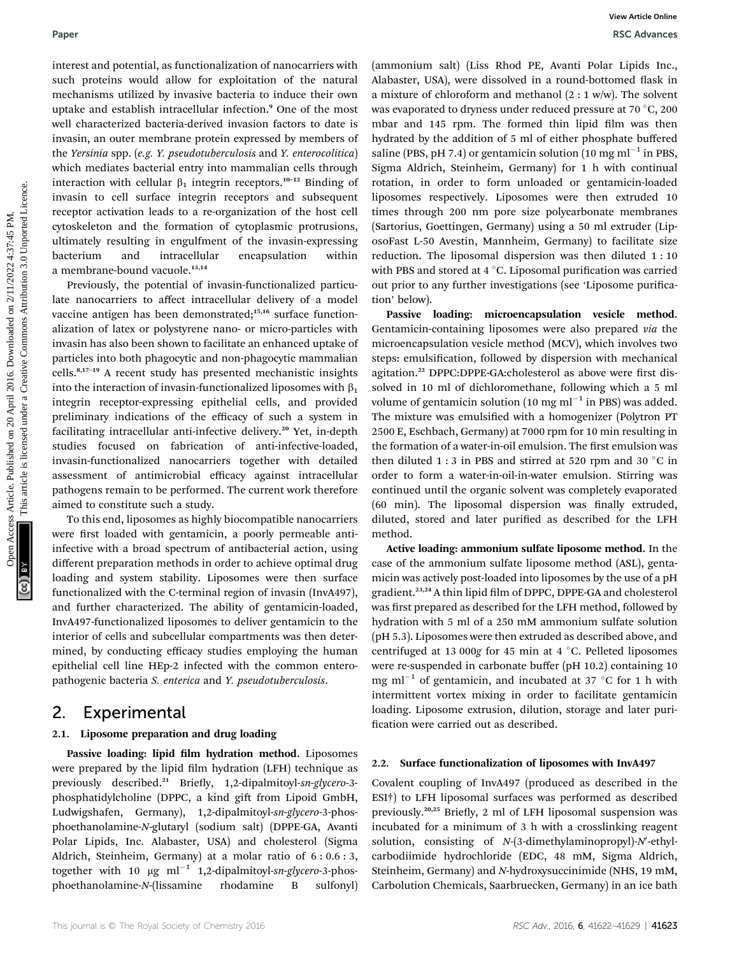interest and potential, as functionalization of nanocarriers with such proteins would allow for exploitation of the natural mechanisms utilized by invasive bacteria to induce their own uptake and establish intracellular infection.<sup>9</sup> One of the most well characterized bacteria-derived invasion factors to date is invasin, an outer membrane protein expressed by members of the Yersinia spp. (e.g. Y. pseudotuberculosis and Y. enterocolitica) which mediates bacterial entry into mammalian cells through interaction with cellular  $\beta_1$  integrin receptors.<sup>10–12</sup> Binding of invasin to cell surface integrin receptors and subsequent receptor activation leads to a re-organization of the host cell cytoskeleton and the formation of cytoplasmic protrusions, ultimately resulting in engulfment of the invasin-expressing bacterium and intracellular encapsulation within a membrane-bound vacuole.<sup>13,14</sup>

Previously, the potential of invasin-functionalized particulate nanocarriers to affect intracellular delivery of a model vaccine antigen has been demonstrated;<sup>15,16</sup> surface functionalization of latex or polystyrene nano- or micro-particles with invasin has also been shown to facilitate an enhanced uptake of particles into both phagocytic and non-phagocytic mammalian cells.8,17–<sup>19</sup> A recent study has presented mechanistic insights into the interaction of invasin-functionalized liposomes with  $\beta_1$ integrin receptor-expressing epithelial cells, and provided preliminary indications of the efficacy of such a system in facilitating intracellular anti-infective delivery.<sup>20</sup> Yet, in-depth studies focused on fabrication of anti-infective-loaded, invasin-functionalized nanocarriers together with detailed assessment of antimicrobial efficacy against intracellular pathogens remain to be performed. The current work therefore aimed to constitute such a study.

To this end, liposomes as highly biocompatible nanocarriers were first loaded with gentamicin, a poorly permeable antiinfective with a broad spectrum of antibacterial action, using different preparation methods in order to achieve optimal drug loading and system stability. Liposomes were then surface functionalized with the C-terminal region of invasin (InvA497), and further characterized. The ability of gentamicin-loaded, InvA497-functionalized liposomes to deliver gentamicin to the interior of cells and subcellular compartments was then determined, by conducting efficacy studies employing the human epithelial cell line HEp-2 infected with the common enteropathogenic bacteria S. enterica and Y. pseudotuberculosis.

### 2. Experimental

#### 2.1. Liposome preparation and drug loading

Passive loading: lipid film hydration method. Liposomes were prepared by the lipid film hydration (LFH) technique as previously described.<sup>21</sup> Briefly, 1,2-dipalmitoyl-sn-glycero-3phosphatidylcholine (DPPC, a kind gift from Lipoid GmbH, Ludwigshafen, Germany), 1,2-dipalmitoyl-sn-glycero-3-phosphoethanolamine-N-glutaryl (sodium salt) (DPPE-GA, Avanti Polar Lipids, Inc. Alabaster, USA) and cholesterol (Sigma Aldrich, Steinheim, Germany) at a molar ratio of 6 : 0.6 : 3, together with 10  $\mu$ g ml<sup>-1</sup> 1,2-dipalmitoyl-sn-glycero-3-phosphoethanolamine-N-(lissamine rhodamine B sulfonyl)

(ammonium salt) (Liss Rhod PE, Avanti Polar Lipids Inc., Alabaster, USA), were dissolved in a round-bottomed flask in a mixture of chloroform and methanol  $(2:1 w/w)$ . The solvent was evaporated to dryness under reduced pressure at 70  $\degree$ C, 200 mbar and 145 rpm. The formed thin lipid film was then hydrated by the addition of 5 ml of either phosphate buffered saline (PBS, pH 7.4) or gentamicin solution (10 mg ml<sup> $-1$ </sup> in PBS, Sigma Aldrich, Steinheim, Germany) for 1 h with continual rotation, in order to form unloaded or gentamicin-loaded liposomes respectively. Liposomes were then extruded 10 times through 200 nm pore size polycarbonate membranes (Sartorius, Goettingen, Germany) using a 50 ml extruder (LiposoFast L-50 Avestin, Mannheim, Germany) to facilitate size reduction. The liposomal dispersion was then diluted 1 : 10 with PBS and stored at  $4^{\circ}$ C. Liposomal purification was carried out prior to any further investigations (see 'Liposome purification' below). Paper<br>
Measurement and particle on 20 April 2016. Downloaded on 20 April 2016. Downloaded on 20 April 2016. Downloaded on 20 April 2016. Downloaded the same of the same of the same of the same of the same of the same of th

Passive loading: microencapsulation vesicle method. Gentamicin-containing liposomes were also prepared via the microencapsulation vesicle method (MCV), which involves two steps: emulsification, followed by dispersion with mechanical agitation.<sup>22</sup> DPPC:DPPE-GA:cholesterol as above were first dissolved in 10 ml of dichloromethane, following which a 5 ml volume of gentamicin solution (10 mg ml<sup> $-1$ </sup> in PBS) was added. The mixture was emulsified with a homogenizer (Polytron PT 2500 E, Eschbach, Germany) at 7000 rpm for 10 min resulting in the formation of a water-in-oil emulsion. The first emulsion was then diluted 1 : 3 in PBS and stirred at 520 rpm and 30  $^{\circ}$ C in order to form a water-in-oil-in-water emulsion. Stirring was continued until the organic solvent was completely evaporated  $(60 \text{ min})$ . The liposomal dispersion was finally extruded, diluted, stored and later purified as described for the LFH method.

Active loading: ammonium sulfate liposome method. In the case of the ammonium sulfate liposome method (ASL), gentamicin was actively post-loaded into liposomes by the use of a pH gradient.<sup>23,24</sup> A thin lipid film of DPPC, DPPE-GA and cholesterol was first prepared as described for the LFH method, followed by hydration with 5 ml of a 250 mM ammonium sulfate solution (pH 5.3). Liposomes were then extruded as described above, and centrifuged at 13 000g for 45 min at 4  $^{\circ}$ C. Pelleted liposomes were re-suspended in carbonate buffer (pH 10.2) containing 10 mg ml<sup>-1</sup> of gentamicin, and incubated at 37 °C for 1 h with intermittent vortex mixing in order to facilitate gentamicin loading. Liposome extrusion, dilution, storage and later puri fication were carried out as described.

#### 2.2. Surface functionalization of liposomes with InvA497

Covalent coupling of InvA497 (produced as described in the ESI†) to LFH liposomal surfaces was performed as described previously.<sup>20,25</sup> Briefly, 2 ml of LFH liposomal suspension was incubated for a minimum of 3 h with a crosslinking reagent solution, consisting of  $N$ -(3-dimethylaminopropyl)- $N'$ -ethylcarbodiimide hydrochloride (EDC, 48 mM, Sigma Aldrich, Steinheim, Germany) and N-hydroxysuccinimide (NHS, 19 mM, Carbolution Chemicals, Saarbruecken, Germany) in an ice bath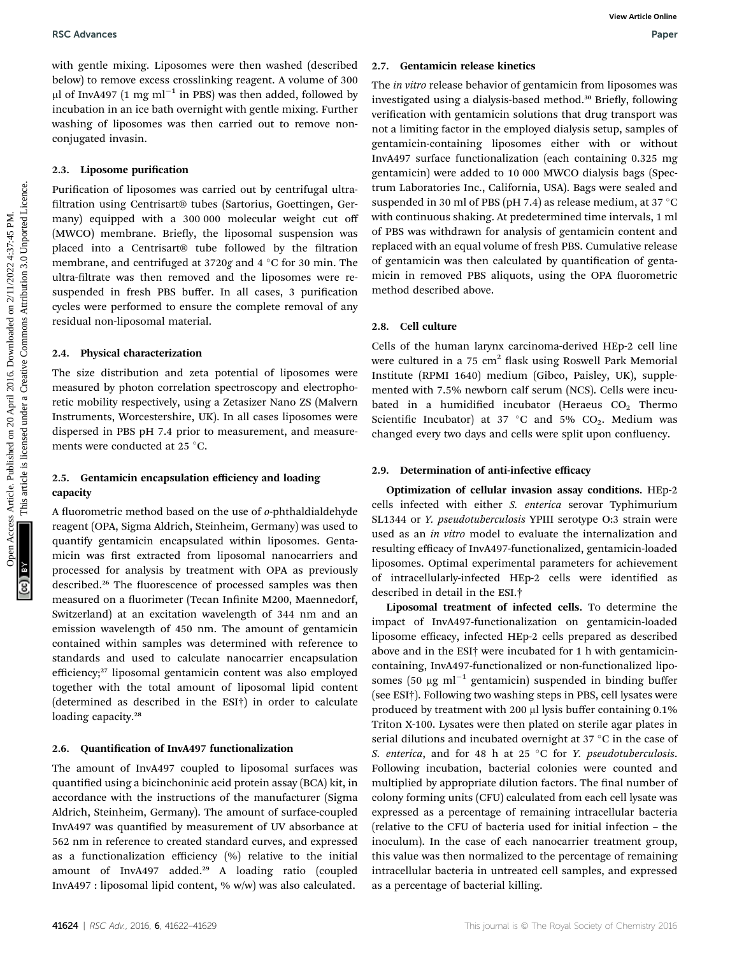with gentle mixing. Liposomes were then washed (described below) to remove excess crosslinking reagent. A volume of 300  $\mu$ l of InvA497 (1 mg ml<sup>-1</sup> in PBS) was then added, followed by incubation in an ice bath overnight with gentle mixing. Further washing of liposomes was then carried out to remove nonconjugated invasin.

#### 2.3. Liposome purification

Purification of liposomes was carried out by centrifugal ultrafiltration using Centrisart® tubes (Sartorius, Goettingen, Germany) equipped with a 300 000 molecular weight cut off (MWCO) membrane. Briefly, the liposomal suspension was placed into a Centrisart® tube followed by the filtration membrane, and centrifuged at 3720g and  $4^{\circ}$ C for 30 min. The ultra-filtrate was then removed and the liposomes were resuspended in fresh PBS buffer. In all cases, 3 purification cycles were performed to ensure the complete removal of any residual non-liposomal material.

#### 2.4. Physical characterization

The size distribution and zeta potential of liposomes were measured by photon correlation spectroscopy and electrophoretic mobility respectively, using a Zetasizer Nano ZS (Malvern Instruments, Worcestershire, UK). In all cases liposomes were dispersed in PBS pH 7.4 prior to measurement, and measurements were conducted at 25 °C.

#### 2.5. Gentamicin encapsulation efficiency and loading capacity

A fluorometric method based on the use of  $o$ -phthaldialdehyde reagent (OPA, Sigma Aldrich, Steinheim, Germany) was used to quantify gentamicin encapsulated within liposomes. Gentamicin was first extracted from liposomal nanocarriers and processed for analysis by treatment with OPA as previously described.<sup>26</sup> The fluorescence of processed samples was then measured on a fluorimeter (Tecan Infinite M200, Maennedorf, Switzerland) at an excitation wavelength of 344 nm and an emission wavelength of 450 nm. The amount of gentamicin contained within samples was determined with reference to standards and used to calculate nanocarrier encapsulation efficiency;<sup>27</sup> liposomal gentamicin content was also employed together with the total amount of liposomal lipid content (determined as described in the ESI†) in order to calculate loading capacity.<sup>28</sup>

#### 2.6. Quantification of InvA497 functionalization

The amount of InvA497 coupled to liposomal surfaces was quantified using a bicinchoninic acid protein assay (BCA) kit, in accordance with the instructions of the manufacturer (Sigma Aldrich, Steinheim, Germany). The amount of surface-coupled InvA497 was quantified by measurement of UV absorbance at 562 nm in reference to created standard curves, and expressed as a functionalization efficiency (%) relative to the initial amount of InvA497 added.<sup>29</sup> A loading ratio (coupled InvA497 : liposomal lipid content, % w/w) was also calculated.

#### 2.7. Gentamicin release kinetics

The *in vitro* release behavior of gentamicin from liposomes was investigated using a dialysis-based method.<sup>30</sup> Briefly, following verification with gentamicin solutions that drug transport was not a limiting factor in the employed dialysis setup, samples of gentamicin-containing liposomes either with or without InvA497 surface functionalization (each containing 0.325 mg gentamicin) were added to 10 000 MWCO dialysis bags (Spectrum Laboratories Inc., California, USA). Bags were sealed and suspended in 30 ml of PBS (pH 7.4) as release medium, at 37  $^{\circ}$ C with continuous shaking. At predetermined time intervals, 1 ml of PBS was withdrawn for analysis of gentamicin content and replaced with an equal volume of fresh PBS. Cumulative release of gentamicin was then calculated by quantification of gentamicin in removed PBS aliquots, using the OPA fluorometric method described above. **Exchanges**<br> **State on 2018.** Communication Forms are the sampled on 2017. Communication Forms are the control to the component and the component and the component of the common and the common state in the common state in

#### 2.8. Cell culture

Cells of the human larynx carcinoma-derived HEp-2 cell line were cultured in a 75  $cm<sup>2</sup>$  flask using Roswell Park Memorial Institute (RPMI 1640) medium (Gibco, Paisley, UK), supplemented with 7.5% newborn calf serum (NCS). Cells were incubated in a humidified incubator (Heraeus  $CO<sub>2</sub>$  Thermo Scientific Incubator) at 37 °C and 5%  $CO<sub>2</sub>$ . Medium was changed every two days and cells were split upon confluency.

#### 2.9. Determination of anti-infective efficacy

Optimization of cellular invasion assay conditions. HEp-2 cells infected with either S. enterica serovar Typhimurium SL1344 or Y. pseudotuberculosis YPIII serotype O:3 strain were used as an *in vitro* model to evaluate the internalization and resulting efficacy of InvA497-functionalized, gentamicin-loaded liposomes. Optimal experimental parameters for achievement of intracellularly-infected HEp-2 cells were identified as described in detail in the ESI.†

Liposomal treatment of infected cells. To determine the impact of InvA497-functionalization on gentamicin-loaded liposome efficacy, infected HEp-2 cells prepared as described above and in the ESI† were incubated for 1 h with gentamicincontaining, InvA497-functionalized or non-functionalized liposomes (50  $\mu$ g ml<sup>-1</sup> gentamicin) suspended in binding buffer (see ESI†). Following two washing steps in PBS, cell lysates were produced by treatment with 200 µl lysis buffer containing 0.1% Triton X-100. Lysates were then plated on sterile agar plates in serial dilutions and incubated overnight at 37  $^{\circ}{\rm C}$  in the case of S. enterica, and for 48 h at 25  $\degree$ C for Y. pseudotuberculosis. Following incubation, bacterial colonies were counted and multiplied by appropriate dilution factors. The final number of colony forming units (CFU) calculated from each cell lysate was expressed as a percentage of remaining intracellular bacteria (relative to the CFU of bacteria used for initial infection – the inoculum). In the case of each nanocarrier treatment group, this value was then normalized to the percentage of remaining intracellular bacteria in untreated cell samples, and expressed as a percentage of bacterial killing.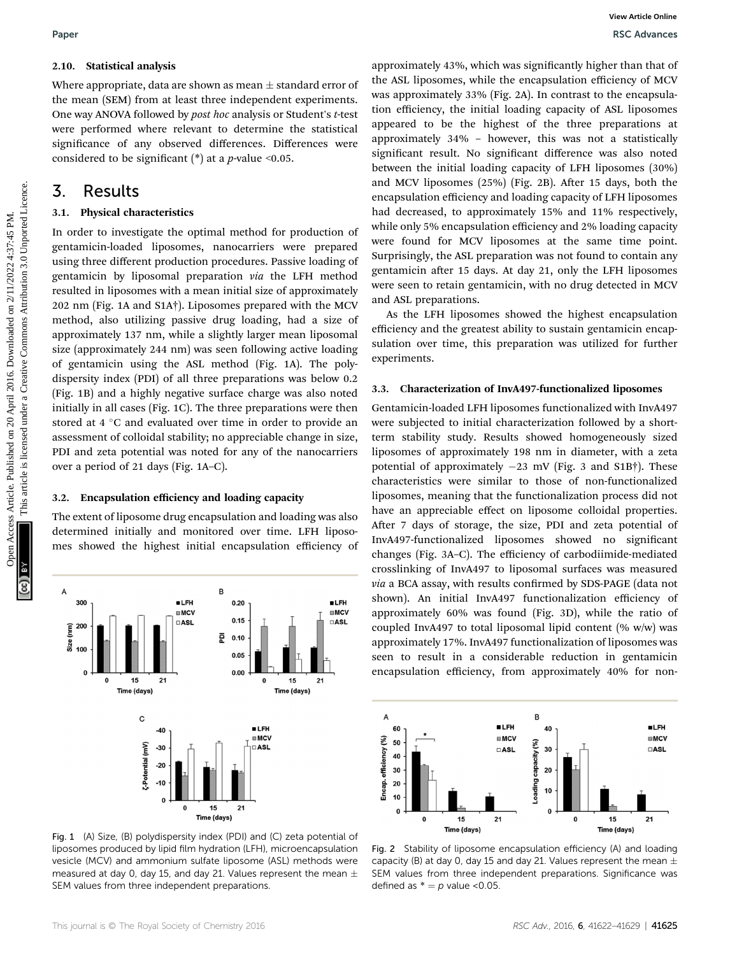Where appropriate, data are shown as mean  $\pm$  standard error of the mean (SEM) from at least three independent experiments. One way ANOVA followed by post hoc analysis or Student's t-test were performed where relevant to determine the statistical significance of any observed differences. Differences were considered to be significant (\*) at a *p*-value <0.05.

# 3. Results

#### 3.1. Physical characteristics

In order to investigate the optimal method for production of gentamicin-loaded liposomes, nanocarriers were prepared using three different production procedures. Passive loading of gentamicin by liposomal preparation via the LFH method resulted in liposomes with a mean initial size of approximately 202 nm (Fig. 1A and S1A†). Liposomes prepared with the MCV method, also utilizing passive drug loading, had a size of approximately 137 nm, while a slightly larger mean liposomal size (approximately 244 nm) was seen following active loading of gentamicin using the ASL method (Fig. 1A). The polydispersity index (PDI) of all three preparations was below 0.2 (Fig. 1B) and a highly negative surface charge was also noted initially in all cases (Fig. 1C). The three preparations were then stored at 4  $\degree$ C and evaluated over time in order to provide an assessment of colloidal stability; no appreciable change in size, PDI and zeta potential was noted for any of the nanocarriers over a period of 21 days (Fig. 1A–C). Paper<br>
2.10. **Statistical analysis**<br>
Were appropriate, dualited article of the Asia physical and spiral and the energy MCs Article is the Creative of MCs (2016)<br>
One way Article on a least three independent experiments are

#### 3.2. Encapsulation efficiency and loading capacity

The extent of liposome drug encapsulation and loading was also determined initially and monitored over time. LFH liposomes showed the highest initial encapsulation efficiency of



Fig. 1 (A) Size, (B) polydispersity index (PDI) and (C) zeta potential of liposomes produced by lipid film hydration (LFH), microencapsulation vesicle (MCV) and ammonium sulfate liposome (ASL) methods were measured at day 0, day 15, and day 21. Values represent the mean  $\pm$ SEM values from three independent preparations.

approximately 43%, which was signicantly higher than that of the ASL liposomes, while the encapsulation efficiency of MCV was approximately 33% (Fig. 2A). In contrast to the encapsulation efficiency, the initial loading capacity of ASL liposomes appeared to be the highest of the three preparations at approximately 34% – however, this was not a statistically significant result. No significant difference was also noted between the initial loading capacity of LFH liposomes (30%) and MCV liposomes  $(25%)$  (Fig. 2B). After 15 days, both the encapsulation efficiency and loading capacity of LFH liposomes had decreased, to approximately 15% and 11% respectively, while only 5% encapsulation efficiency and 2% loading capacity were found for MCV liposomes at the same time point. Surprisingly, the ASL preparation was not found to contain any gentamicin after 15 days. At day 21, only the LFH liposomes were seen to retain gentamicin, with no drug detected in MCV and ASL preparations.

As the LFH liposomes showed the highest encapsulation efficiency and the greatest ability to sustain gentamicin encapsulation over time, this preparation was utilized for further experiments.

#### 3.3. Characterization of InvA497-functionalized liposomes

Gentamicin-loaded LFH liposomes functionalized with InvA497 were subjected to initial characterization followed by a shortterm stability study. Results showed homogeneously sized liposomes of approximately 198 nm in diameter, with a zeta potential of approximately  $-23$  mV (Fig. 3 and S1B†). These characteristics were similar to those of non-functionalized liposomes, meaning that the functionalization process did not have an appreciable effect on liposome colloidal properties. After 7 days of storage, the size, PDI and zeta potential of InvA497-functionalized liposomes showed no signicant changes (Fig. 3A–C). The efficiency of carbodiimide-mediated crosslinking of InvA497 to liposomal surfaces was measured via a BCA assay, with results confirmed by SDS-PAGE (data not shown). An initial InvA497 functionalization efficiency of approximately 60% was found (Fig. 3D), while the ratio of coupled InvA497 to total liposomal lipid content (% w/w) was approximately 17%. InvA497 functionalization of liposomes was seen to result in a considerable reduction in gentamicin encapsulation efficiency, from approximately 40% for non-



Fig. 2 Stability of liposome encapsulation efficiency (A) and loading capacity (B) at day 0, day 15 and day 21. Values represent the mean  $\pm$ SEM values from three independent preparations. Significance was defined as  $* = p$  value <0.05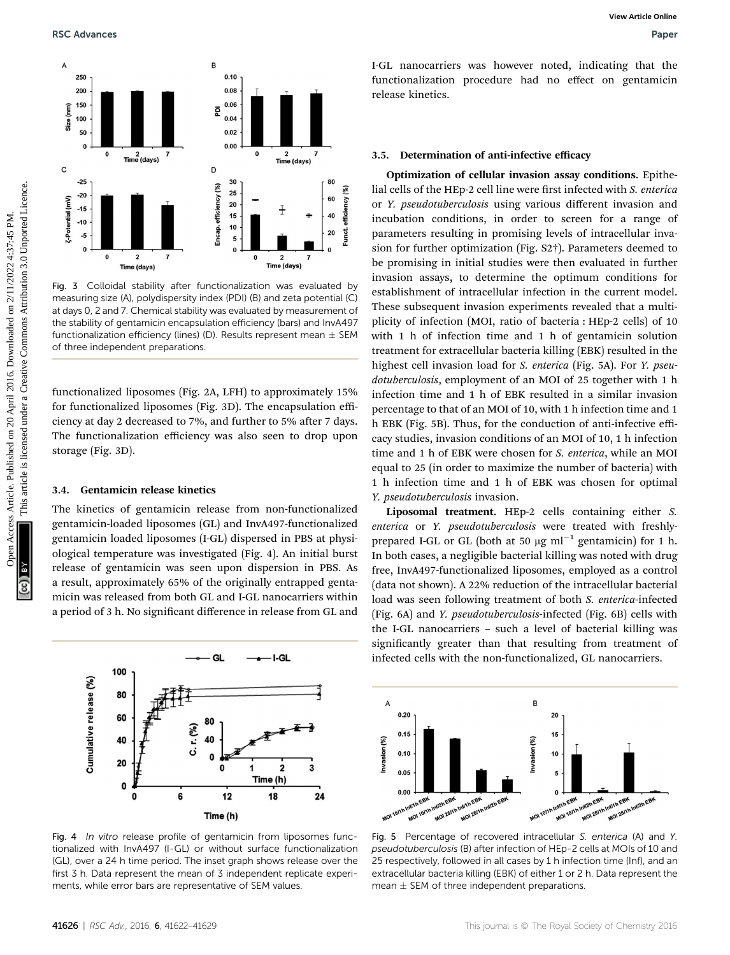

Fig. 3 Colloidal stability after functionalization was evaluated by measuring size (A), polydispersity index (PDI) (B) and zeta potential (C) at days 0, 2 and 7. Chemical stability was evaluated by measurement of the stability of gentamicin encapsulation efficiency (bars) and InvA497 functionalization efficiency (lines) (D). Results represent mean  $\pm$  SEM of three independent preparations.

functionalized liposomes (Fig. 2A, LFH) to approximately 15% for functionalized liposomes (Fig. 3D). The encapsulation efficiency at day 2 decreased to 7%, and further to 5% after 7 days. The functionalization efficiency was also seen to drop upon storage (Fig. 3D).

#### 3.4. Gentamicin release kinetics

The kinetics of gentamicin release from non-functionalized gentamicin-loaded liposomes (GL) and InvA497-functionalized gentamicin loaded liposomes (I-GL) dispersed in PBS at physiological temperature was investigated (Fig. 4). An initial burst release of gentamicin was seen upon dispersion in PBS. As a result, approximately 65% of the originally entrapped gentamicin was released from both GL and I-GL nanocarriers within a period of 3 h. No significant difference in release from GL and



Fig. 4 In vitro release profile of gentamicin from liposomes functionalized with InvA497 (I-GL) or without surface functionalization (GL), over a 24 h time period. The inset graph shows release over the first 3 h. Data represent the mean of 3 independent replicate experiments, while error bars are representative of SEM values.

I-GL nanocarriers was however noted, indicating that the functionalization procedure had no effect on gentamicin release kinetics.

#### 3.5. Determination of anti-infective efficacy

Optimization of cellular invasion assay conditions. Epithelial cells of the HEp-2 cell line were first infected with S. enterica or Y. pseudotuberculosis using various different invasion and incubation conditions, in order to screen for a range of parameters resulting in promising levels of intracellular invasion for further optimization (Fig. S2†). Parameters deemed to be promising in initial studies were then evaluated in further invasion assays, to determine the optimum conditions for establishment of intracellular infection in the current model. These subsequent invasion experiments revealed that a multiplicity of infection (MOI, ratio of bacteria : HEp-2 cells) of 10 with 1 h of infection time and 1 h of gentamicin solution treatment for extracellular bacteria killing (EBK) resulted in the highest cell invasion load for *S. enterica* (Fig. 5A). For *Y. pseu*dotuberculosis, employment of an MOI of 25 together with 1 h infection time and 1 h of EBK resulted in a similar invasion percentage to that of an MOI of 10, with 1 h infection time and 1 h EBK (Fig. 5B). Thus, for the conduction of anti-infective efficacy studies, invasion conditions of an MOI of 10, 1 h infection time and 1 h of EBK were chosen for S. enterica, while an MOI equal to 25 (in order to maximize the number of bacteria) with 1 h infection time and 1 h of EBK was chosen for optimal Y. pseudotuberculosis invasion. **EXACTES ARTIFY ARTIFY ARTIFY ARTIFY ARTIFY ARTIFY ARTIFY ARTIFY ARTIFY ARTIFY ARTIFY ARTIFY ARTIFY ARTIFY ARTIFY ARTIFY ARTIFY ARTIFY ARTIFY ARTIFY ARTIFY ARTIFY ARTIFY ARTIFY ARTIFY ARTIFY ARTIFY ARTIFY ARTIFY ARTIFY AR** 

Liposomal treatment. HEp-2 cells containing either S. enterica or Y. pseudotuberculosis were treated with freshlyprepared I-GL or GL (both at 50  $\mu$ g ml<sup>-1</sup> gentamicin) for 1 h. In both cases, a negligible bacterial killing was noted with drug free, InvA497-functionalized liposomes, employed as a control (data not shown). A 22% reduction of the intracellular bacterial load was seen following treatment of both S. enterica-infected (Fig. 6A) and Y. pseudotuberculosis-infected (Fig. 6B) cells with the I-GL nanocarriers – such a level of bacterial killing was significantly greater than that resulting from treatment of infected cells with the non-functionalized, GL nanocarriers.



Fig. 5 Percentage of recovered intracellular S. enterica (A) and Y. pseudotuberculosis (B) after infection of HEp-2 cells at MOIs of 10 and 25 respectively, followed in all cases by 1 h infection time (Inf), and an extracellular bacteria killing (EBK) of either 1 or 2 h. Data represent the mean  $\pm$  SEM of three independent preparations.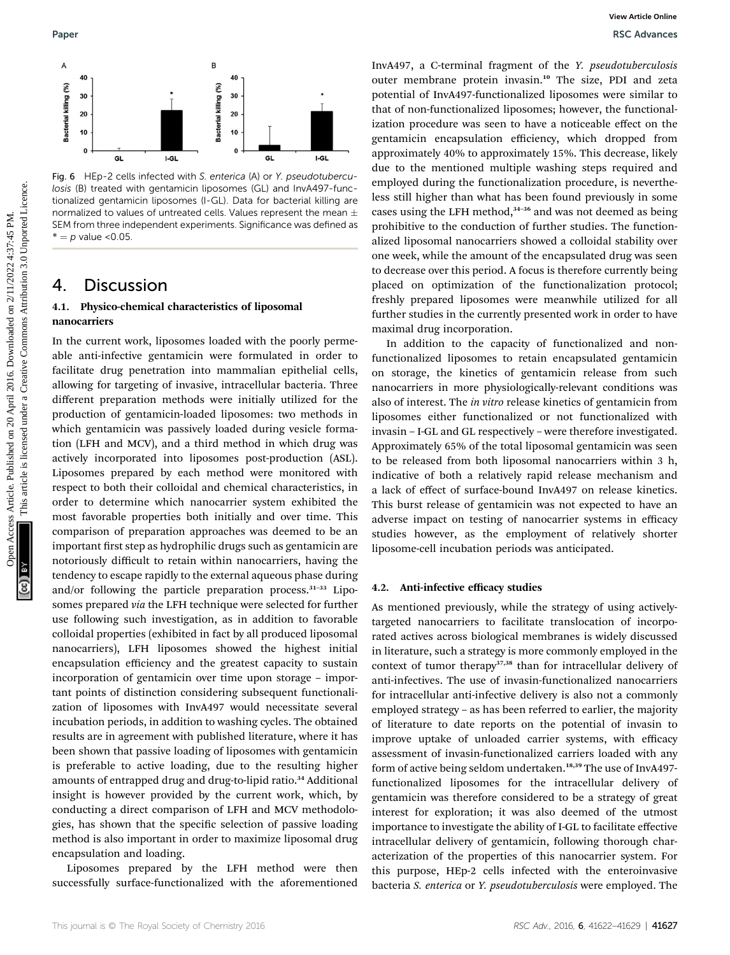Fig. 6 HEp-2 cells infected with S. enterica (A) or Y. pseudotuberculosis (B) treated with gentamicin liposomes (GL) and InvA497-functionalized gentamicin liposomes (I-GL). Data for bacterial killing are normalized to values of untreated cells. Values represent the mean  $\pm$ SEM from three independent experiments. Significance was defined as \* =  $p$  value <0.05

### 4. Discussion

#### 4.1. Physico-chemical characteristics of liposomal nanocarriers

In the current work, liposomes loaded with the poorly permeable anti-infective gentamicin were formulated in order to facilitate drug penetration into mammalian epithelial cells, allowing for targeting of invasive, intracellular bacteria. Three different preparation methods were initially utilized for the production of gentamicin-loaded liposomes: two methods in which gentamicin was passively loaded during vesicle formation (LFH and MCV), and a third method in which drug was actively incorporated into liposomes post-production (ASL). Liposomes prepared by each method were monitored with respect to both their colloidal and chemical characteristics, in order to determine which nanocarrier system exhibited the most favorable properties both initially and over time. This comparison of preparation approaches was deemed to be an important first step as hydrophilic drugs such as gentamicin are notoriously difficult to retain within nanocarriers, having the tendency to escape rapidly to the external aqueous phase during and/or following the particle preparation process. $31-33$  Liposomes prepared via the LFH technique were selected for further use following such investigation, as in addition to favorable colloidal properties (exhibited in fact by all produced liposomal nanocarriers), LFH liposomes showed the highest initial encapsulation efficiency and the greatest capacity to sustain incorporation of gentamicin over time upon storage – important points of distinction considering subsequent functionalization of liposomes with InvA497 would necessitate several incubation periods, in addition to washing cycles. The obtained results are in agreement with published literature, where it has been shown that passive loading of liposomes with gentamicin is preferable to active loading, due to the resulting higher amounts of entrapped drug and drug-to-lipid ratio.<sup>34</sup> Additional insight is however provided by the current work, which, by conducting a direct comparison of LFH and MCV methodologies, has shown that the specific selection of passive loading method is also important in order to maximize liposomal drug encapsulation and loading.

Liposomes prepared by the LFH method were then successfully surface-functionalized with the aforementioned

InvA497, a C-terminal fragment of the Y. pseudotuberculosis outer membrane protein invasin.<sup>10</sup> The size, PDI and zeta potential of InvA497-functionalized liposomes were similar to that of non-functionalized liposomes; however, the functionalization procedure was seen to have a noticeable effect on the gentamicin encapsulation efficiency, which dropped from approximately 40% to approximately 15%. This decrease, likely due to the mentioned multiple washing steps required and employed during the functionalization procedure, is nevertheless still higher than what has been found previously in some cases using the LFH method,<sup>34-36</sup> and was not deemed as being prohibitive to the conduction of further studies. The functionalized liposomal nanocarriers showed a colloidal stability over one week, while the amount of the encapsulated drug was seen to decrease over this period. A focus is therefore currently being placed on optimization of the functionalization protocol; freshly prepared liposomes were meanwhile utilized for all further studies in the currently presented work in order to have maximal drug incorporation. Paper<br>
Access Article 2016. Contrast Article 2016. The published on 2016. The same of the same of the same of the same of the same of the same of the same of the same of the same of the same of the same of the same of the

In addition to the capacity of functionalized and nonfunctionalized liposomes to retain encapsulated gentamicin on storage, the kinetics of gentamicin release from such nanocarriers in more physiologically-relevant conditions was also of interest. The in vitro release kinetics of gentamicin from liposomes either functionalized or not functionalized with invasin – I-GL and GL respectively – were therefore investigated. Approximately 65% of the total liposomal gentamicin was seen to be released from both liposomal nanocarriers within 3 h, indicative of both a relatively rapid release mechanism and a lack of effect of surface-bound InvA497 on release kinetics. This burst release of gentamicin was not expected to have an adverse impact on testing of nanocarrier systems in efficacy studies however, as the employment of relatively shorter liposome-cell incubation periods was anticipated.

#### 4.2. Anti-infective efficacy studies

As mentioned previously, while the strategy of using activelytargeted nanocarriers to facilitate translocation of incorporated actives across biological membranes is widely discussed in literature, such a strategy is more commonly employed in the context of tumor therapy<sup>37,38</sup> than for intracellular delivery of anti-infectives. The use of invasin-functionalized nanocarriers for intracellular anti-infective delivery is also not a commonly employed strategy – as has been referred to earlier, the majority of literature to date reports on the potential of invasin to improve uptake of unloaded carrier systems, with efficacy assessment of invasin-functionalized carriers loaded with any form of active being seldom undertaken.<sup>18,39</sup> The use of InvA497functionalized liposomes for the intracellular delivery of gentamicin was therefore considered to be a strategy of great interest for exploration; it was also deemed of the utmost importance to investigate the ability of I-GL to facilitate effective intracellular delivery of gentamicin, following thorough characterization of the properties of this nanocarrier system. For this purpose, HEp-2 cells infected with the enteroinvasive bacteria S. enterica or Y. pseudotuberculosis were employed. The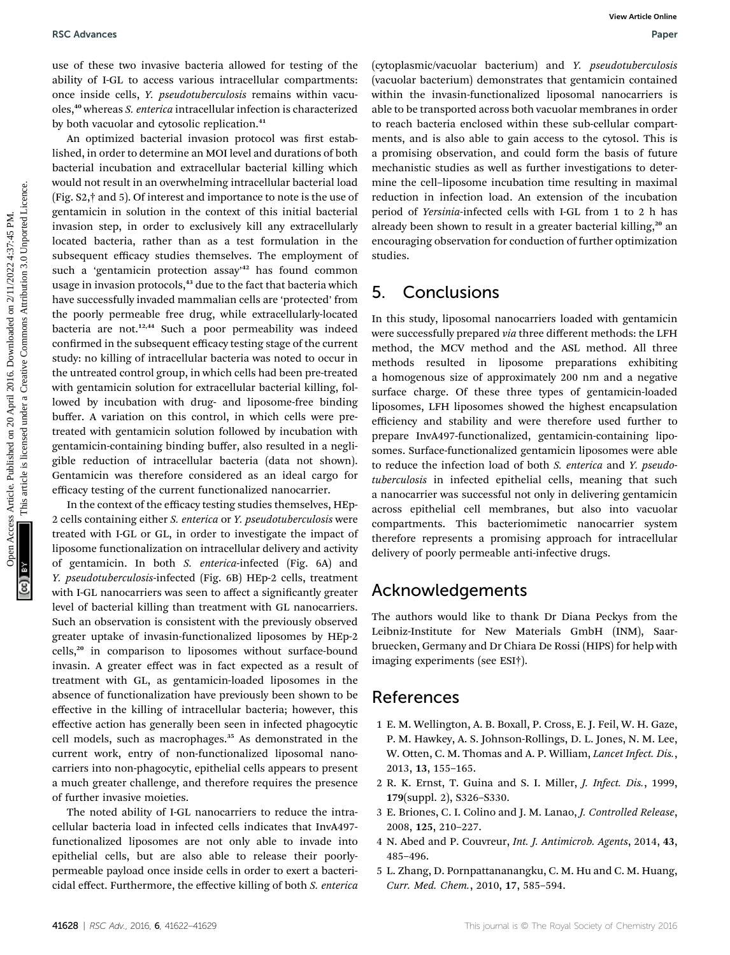use of these two invasive bacteria allowed for testing of the ability of I-GL to access various intracellular compartments: once inside cells, Y. pseudotuberculosis remains within vacuoles,<sup>40</sup> whereas S. enterica intracellular infection is characterized by both vacuolar and cytosolic replication.<sup>41</sup>

An optimized bacterial invasion protocol was first established, in order to determine an MOI level and durations of both bacterial incubation and extracellular bacterial killing which would not result in an overwhelming intracellular bacterial load (Fig. S2,† and 5). Of interest and importance to note is the use of gentamicin in solution in the context of this initial bacterial invasion step, in order to exclusively kill any extracellularly located bacteria, rather than as a test formulation in the subsequent efficacy studies themselves. The employment of such a 'gentamicin protection assay' <sup>42</sup> has found common usage in invasion protocols,<sup>43</sup> due to the fact that bacteria which have successfully invaded mammalian cells are 'protected' from the poorly permeable free drug, while extracellularly-located bacteria are not.<sup>12,44</sup> Such a poor permeability was indeed confirmed in the subsequent efficacy testing stage of the current study: no killing of intracellular bacteria was noted to occur in the untreated control group, in which cells had been pre-treated with gentamicin solution for extracellular bacterial killing, followed by incubation with drug- and liposome-free binding buffer. A variation on this control, in which cells were pretreated with gentamicin solution followed by incubation with gentamicin-containing binding buffer, also resulted in a negligible reduction of intracellular bacteria (data not shown). Gentamicin was therefore considered as an ideal cargo for efficacy testing of the current functionalized nanocarrier. BSC Advances Article Computer of the computer of the computer of the computer of the controller on 20 April 2016. The computer of the computer of the computer of the computer of the computer of the computer of the common

In the context of the efficacy testing studies themselves, HEp-2 cells containing either S. enterica or Y. pseudotuberculosis were treated with I-GL or GL, in order to investigate the impact of liposome functionalization on intracellular delivery and activity of gentamicin. In both S. enterica-infected (Fig. 6A) and Y. pseudotuberculosis-infected (Fig. 6B) HEp-2 cells, treatment with I-GL nanocarriers was seen to affect a significantly greater level of bacterial killing than treatment with GL nanocarriers. Such an observation is consistent with the previously observed greater uptake of invasin-functionalized liposomes by HEp-2 cells,<sup>20</sup> in comparison to liposomes without surface-bound invasin. A greater effect was in fact expected as a result of treatment with GL, as gentamicin-loaded liposomes in the absence of functionalization have previously been shown to be effective in the killing of intracellular bacteria; however, this effective action has generally been seen in infected phagocytic cell models, such as macrophages.<sup>35</sup> As demonstrated in the current work, entry of non-functionalized liposomal nanocarriers into non-phagocytic, epithelial cells appears to present a much greater challenge, and therefore requires the presence of further invasive moieties.

The noted ability of I-GL nanocarriers to reduce the intracellular bacteria load in infected cells indicates that InvA497 functionalized liposomes are not only able to invade into epithelial cells, but are also able to release their poorlypermeable payload once inside cells in order to exert a bactericidal effect. Furthermore, the effective killing of both S. enterica (cytoplasmic/vacuolar bacterium) and Y. pseudotuberculosis (vacuolar bacterium) demonstrates that gentamicin contained within the invasin-functionalized liposomal nanocarriers is able to be transported across both vacuolar membranes in order to reach bacteria enclosed within these sub-cellular compartments, and is also able to gain access to the cytosol. This is a promising observation, and could form the basis of future mechanistic studies as well as further investigations to determine the cell–liposome incubation time resulting in maximal reduction in infection load. An extension of the incubation period of Yersinia-infected cells with I-GL from 1 to 2 h has already been shown to result in a greater bacterial killing,<sup>20</sup> an encouraging observation for conduction of further optimization studies.

### 5. Conclusions

In this study, liposomal nanocarriers loaded with gentamicin were successfully prepared via three different methods: the LFH method, the MCV method and the ASL method. All three methods resulted in liposome preparations exhibiting a homogenous size of approximately 200 nm and a negative surface charge. Of these three types of gentamicin-loaded liposomes, LFH liposomes showed the highest encapsulation efficiency and stability and were therefore used further to prepare InvA497-functionalized, gentamicin-containing liposomes. Surface-functionalized gentamicin liposomes were able to reduce the infection load of both S. enterica and Y. pseudotuberculosis in infected epithelial cells, meaning that such a nanocarrier was successful not only in delivering gentamicin across epithelial cell membranes, but also into vacuolar compartments. This bacteriomimetic nanocarrier system therefore represents a promising approach for intracellular delivery of poorly permeable anti-infective drugs.

# Acknowledgements

The authors would like to thank Dr Diana Peckys from the Leibniz-Institute for New Materials GmbH (INM), Saarbruecken, Germany and Dr Chiara De Rossi (HIPS) for help with imaging experiments (see ESI†).

### References

- 1 E. M. Wellington, A. B. Boxall, P. Cross, E. J. Feil, W. H. Gaze, P. M. Hawkey, A. S. Johnson-Rollings, D. L. Jones, N. M. Lee, W. Otten, C. M. Thomas and A. P. William, Lancet Infect. Dis., 2013, 13, 155–165.
- 2 R. K. Ernst, T. Guina and S. I. Miller, J. Infect. Dis., 1999, 179(suppl. 2), S326–S330.
- 3 E. Briones, C. I. Colino and J. M. Lanao, J. Controlled Release, 2008, 125, 210–227.
- 4 N. Abed and P. Couvreur, Int. J. Antimicrob. Agents, 2014, 43, 485–496.
- 5 L. Zhang, D. Pornpattananangku, C. M. Hu and C. M. Huang, Curr. Med. Chem., 2010, 17, 585–594.